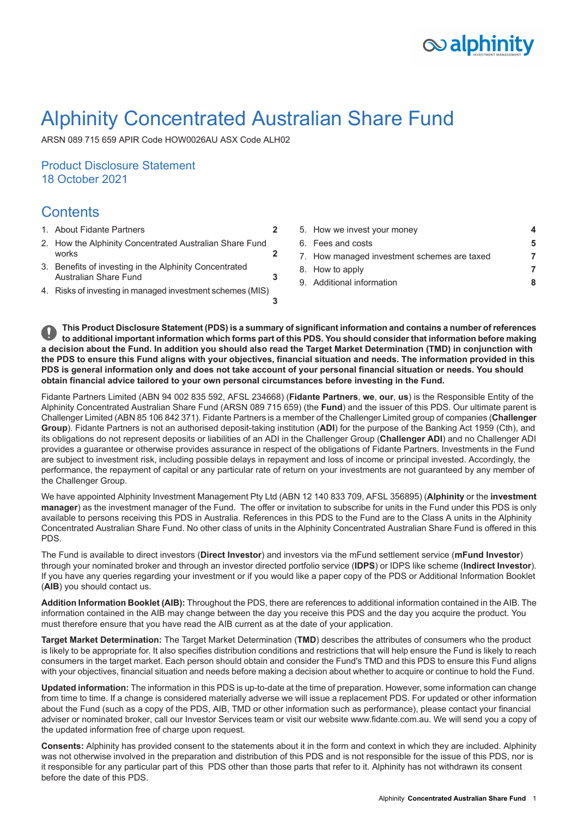# $\infty$  alphinity

# Alphinity Concentrated Australian Share Fund

ARSN 089 715 659 APIR Code HOW0026AU ASX Code ALH02

# Product Disclosure Statement 18 October 2021

# **Contents**

- 
- **[2](#page-1-1)** 2. How the Alphinity [Concentrated](#page-1-1) Australian Share Fund
- 3. Benefits of investing in the Alphinity [Concentrated](#page-2-0) [Australian](#page-2-0) Share Fund
- **[3](#page-2-1)** 4. Risks of investing in managed [investment](#page-2-1) schemes (MIS)
- 1. About Fidante [Partners](#page-1-0) **[2](#page-1-0)** 5. How we invest your [money](#page-3-0) **[4](#page-3-0)** 6. Fees and [costs](#page-4-0) **[5](#page-4-0)** [works](#page-1-1) **2** T. How managed [investment](#page-6-0) schemes are taxed **[7](#page-6-0)** 8. How to [apply](#page-6-1) **[7](#page-6-1)** 9. Additional [information](#page-7-0) **[8](#page-7-0)**

This Product Disclosure Statement (PDS) is a summary of significant information and contains a number of references to additional important information which forms part of this PDS. You should consider that information before making a decision about the Fund. In addition you should also read the Target Market Determination (TMD) in conjunction with the PDS to ensure this Fund aligns with your objectives, financial situation and needs. The information provided in this PDS is general information only and does not take account of your personal financial situation or needs. You should **obtain financial advice tailored to your own personal circumstances before investing in the Fund.**

**[3](#page-2-0)**

Fidante Partners Limited (ABN 94 002 835 592, AFSL 234668) (**Fidante Partners**, **we**, **our**, **us**) is the Responsible Entity of the Alphinity Concentrated Australian Share Fund (ARSN 089 715 659) (the **Fund**) and the issuer of this PDS. Our ultimate parent is Challenger Limited (ABN 85 106 842 371). Fidante Partners is a member of the Challenger Limited group of companies (**Challenger Group**). Fidante Partners is not an authorised deposit-taking institution (**ADI**) for the purpose of the Banking Act 1959 (Cth), and its obligations do not represent deposits or liabilities of an ADI in the Challenger Group (**Challenger ADI**) and no Challenger ADI provides a guarantee or otherwise provides assurance in respect of the obligations of Fidante Partners. Investments in the Fund are subject to investment risk, including possible delays in repayment and loss of income or principal invested. Accordingly, the performance, the repayment of capital or any particular rate of return on your investments are not guaranteed by any member of the Challenger Group.

We have appointed Alphinity Investment Management Pty Ltd (ABN 12 140 833 709, AFSL 356895) (**Alphinity** or the **investment manager**) as the investment manager of the Fund. The offer or invitation to subscribe for units in the Fund under this PDS is only available to persons receiving this PDS in Australia. References in this PDS to the Fund are to the Class A units in the Alphinity Concentrated Australian Share Fund. No other class of units in the Alphinity Concentrated Australian Share Fund is offered in this PDS.

The Fund is available to direct investors (**Direct Investor**) and investors via the mFund settlement service (**mFund Investor**) through your nominated broker and through an investor directed portfolio service (**IDPS**) or IDPS like scheme (**Indirect Investor**). If you have any queries regarding your investment or if you would like a paper copy of the PDS or Additional Information Booklet (**AIB**) you should contact us.

**Addition Information Booklet (AIB):** Throughout the PDS, there are references to additional information contained in the AIB. The information contained in the AIB may change between the day you receive this PDS and the day you acquire the product. You must therefore ensure that you have read the AIB current as at the date of your application.

**Target Market Determination:** The Target Market Determination (**TMD**) describes the attributes of consumers who the product is likely to be appropriate for. It also specifies distribution conditions and restrictions that will help ensure the Fund is likely to reach consumers in the target market. Each person should obtain and consider the Fund's TMD and this PDS to ensure this Fund aligns with your objectives, financial situation and needs before making a decision about whether to acquire or continue to hold the Fund.

**Updated information:** The information in this PDS is up-to-date at the time of preparation. However, some information can change from time to time. If a change is considered materially adverse we will issue a replacement PDS. For updated or other information about the Fund (such as a copy of the PDS, AIB, TMD or other information such as performance), please contact your financial adviser or nominated broker, call our Investor Services team or visit our website www.fidante.com.au. We will send you a copy of the updated information free of charge upon request.

**Consents:** Alphinity has provided consent to the statements about it in the form and context in which they are included. Alphinity was not otherwise involved in the preparation and distribution of this PDS and is not responsible for the issue of this PDS, nor is it responsible for any particular part of this PDS other than those parts that refer to it. Alphinity has not withdrawn its consent before the date of this PDS.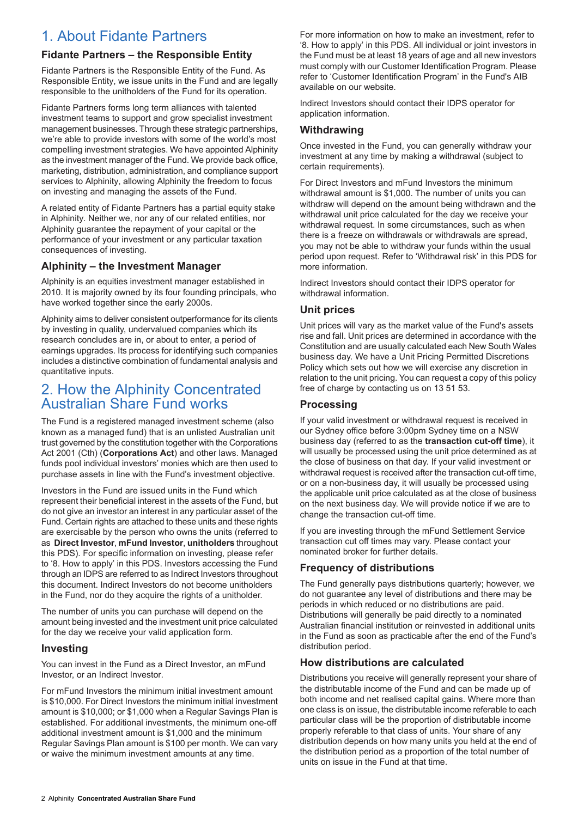# <span id="page-1-0"></span>1. About Fidante Partners

## **Fidante Partners – the Responsible Entity**

Fidante Partners is the Responsible Entity of the Fund. As Responsible Entity, we issue units in the Fund and are legally responsible to the unitholders of the Fund for its operation.

Fidante Partners forms long term alliances with talented investment teams to support and grow specialist investment management businesses. Through these strategic partnerships, we're able to provide investors with some of the world's most compelling investment strategies. We have appointed Alphinity as the investment manager of the Fund. We provide back office, marketing, distribution, administration, and compliance support services to Alphinity, allowing Alphinity the freedom to focus on investing and managing the assets of the Fund.

A related entity of Fidante Partners has a partial equity stake in Alphinity. Neither we, nor any of our related entities, nor Alphinity guarantee the repayment of your capital or the performance of your investment or any particular taxation consequences of investing.

## **Alphinity – the Investment Manager**

Alphinity is an equities investment manager established in 2010. It is majority owned by its four founding principals, who have worked together since the early 2000s.

<span id="page-1-1"></span>Alphinity aims to deliver consistent outperformance for its clients by investing in quality, undervalued companies which its research concludes are in, or about to enter, a period of earnings upgrades. Its process for identifying such companies includes a distinctive combination of fundamental analysis and quantitative inputs.

# 2. How the Alphinity Concentrated Australian Share Fund works

The Fund is a registered managed investment scheme (also known as a managed fund) that is an unlisted Australian unit trust governed by the constitution together with the Corporations Act 2001 (Cth) (**Corporations Act**) and other laws. Managed funds pool individual investors' monies which are then used to purchase assets in line with the Fund's investment objective.

Investors in the Fund are issued units in the Fund which represent their beneficial interest in the assets of the Fund, but do not give an investor an interest in any particular asset of the Fund. Certain rights are attached to these units and these rights are exercisable by the person who owns the units (referred to as **Direct Investor**, **mFund Investor**, **unitholders** throughout this PDS). For specific information on investing, please refer to '8. How to apply' in this PDS. Investors accessing the Fund through an IDPS are referred to as Indirect Investors throughout this document. Indirect Investors do not become unitholders in the Fund, nor do they acquire the rights of a unitholder.

The number of units you can purchase will depend on the amount being invested and the investment unit price calculated for the day we receive your valid application form.

#### **Investing**

You can invest in the Fund as a Direct Investor, an mFund Investor, or an Indirect Investor.

For mFund Investors the minimum initial investment amount is \$10,000. For Direct Investors the minimum initial investment amount is \$10,000; or \$1,000 when a Regular Savings Plan is established. For additional investments, the minimum one-off additional investment amount is \$1,000 and the minimum Regular Savings Plan amount is \$100 per month. We can vary or waive the minimum investment amounts at any time.

For more information on how to make an investment, refer to '8. How to apply' in this PDS. All individual or joint investors in the Fund must be at least 18 years of age and all new investors must comply with our Customer Identification Program. Please refer to 'Customer Identification Program' in the Fund's AIB available on our website.

Indirect Investors should contact their IDPS operator for application information.

## **Withdrawing**

Once invested in the Fund, you can generally withdraw your investment at any time by making a withdrawal (subject to certain requirements).

For Direct Investors and mFund Investors the minimum withdrawal amount is \$1,000. The number of units you can withdraw will depend on the amount being withdrawn and the withdrawal unit price calculated for the day we receive your withdrawal request. In some circumstances, such as when there is a freeze on withdrawals or withdrawals are spread, you may not be able to withdraw your funds within the usual period upon request. Refer to 'Withdrawal risk' in this PDS for more information.

Indirect Investors should contact their IDPS operator for withdrawal information.

#### **Unit prices**

Unit prices will vary as the market value of the Fund's assets rise and fall. Unit prices are determined in accordance with the Constitution and are usually calculated each New South Wales business day. We have a Unit Pricing Permitted Discretions Policy which sets out how we will exercise any discretion in relation to the unit pricing. You can request a copy of this policy free of charge by contacting us on 13 51 53.

### **Processing**

If your valid investment or withdrawal request is received in our Sydney office before 3:00pm Sydney time on a NSW business day (referred to as the **transaction cut-off time**), it will usually be processed using the unit price determined as at the close of business on that day. If your valid investment or withdrawal request is received after the transaction cut-off time, or on a non-business day, it will usually be processed using the applicable unit price calculated as at the close of business on the next business day. We will provide notice if we are to change the transaction cut-off time.

If you are investing through the mFund Settlement Service transaction cut off times may vary. Please contact your nominated broker for further details.

## **Frequency of distributions**

The Fund generally pays distributions quarterly; however, we do not guarantee any level of distributions and there may be periods in which reduced or no distributions are paid. Distributions will generally be paid directly to a nominated Australian financial institution or reinvested in additional units in the Fund as soon as practicable after the end of the Fund's distribution period.

## **How distributions are calculated**

Distributions you receive will generally represent your share of the distributable income of the Fund and can be made up of both income and net realised capital gains. Where more than one class is on issue, the distributable income referable to each particular class will be the proportion of distributable income properly referable to that class of units. Your share of any distribution depends on how many units you held at the end of the distribution period as a proportion of the total number of units on issue in the Fund at that time.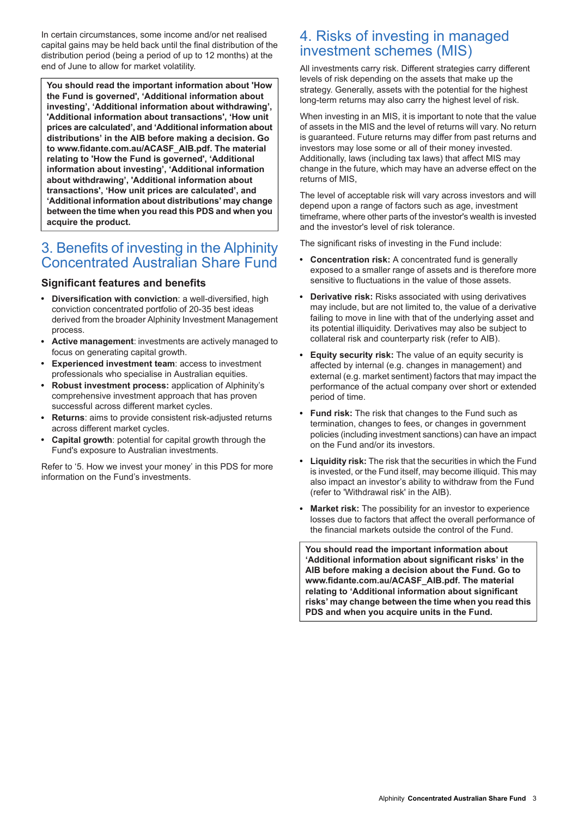In certain circumstances, some income and/or net realised capital gains may be held back until the final distribution of the distribution period (being a period of up to 12 months) at the end of June to allow for market volatility.

**You should read the important information about 'How the Fund is governed', 'Additional information about investing', 'Additional information about withdrawing', 'Additional information about transactions', 'How unit prices are calculated', and 'Additional information about distributions' in the AIB before making a decision. Go to www.fidante.com.au/ACASF\_AIB.pdf. The material relating to 'How the Fund is governed', 'Additional information about investing', 'Additional information about withdrawing', 'Additional information about transactions', 'How unit prices are calculated', and 'Additional information about distributions' may change between the time when you read this PDS and when you acquire the product.**

# <span id="page-2-0"></span>3. Benefits of investing in the Alphinity Concentrated Australian Share Fund

### **Significant features and benefits**

- **Diversification with conviction**: a well-diversified, high conviction concentrated portfolio of 20-35 best ideas derived from the broader Alphinity Investment Management process.
- **Active management**: investments are actively managed to focus on generating capital growth.
- **Experienced investment team**: access to investment professionals who specialise in Australian equities.
- **Robust investment process:** application of Alphinity's comprehensive investment approach that has proven successful across different market cycles.
- **Returns**: aims to provide consistent risk-adjusted returns across different market cycles.
- **Capital growth**: potential for capital growth through the Fund's exposure to Australian investments.

Refer to '5. How we invest your money' in this PDS for more information on the Fund's investments.

# <span id="page-2-1"></span>4. Risks of investing in managed investment schemes (MIS)

All investments carry risk. Different strategies carry different levels of risk depending on the assets that make up the strategy. Generally, assets with the potential for the highest long-term returns may also carry the highest level of risk.

When investing in an MIS, it is important to note that the value of assets in the MIS and the level of returns will vary. No return is guaranteed. Future returns may differ from past returns and investors may lose some or all of their money invested. Additionally, laws (including tax laws) that affect MIS may change in the future, which may have an adverse effect on the returns of MIS,

The level of acceptable risk will vary across investors and will depend upon a range of factors such as age, investment timeframe, where other parts of the investor's wealth is invested and the investor's level of risk tolerance.

The significant risks of investing in the Fund include:

- **Concentration risk:** A concentrated fund is generally  $\bullet$ exposed to a smaller range of assets and is therefore more sensitive to fluctuations in the value of those assets.
- **Derivative risk:** Risks associated with using derivatives may include, but are not limited to, the value of a derivative failing to move in line with that of the underlying asset and its potential illiquidity. Derivatives may also be subject to collateral risk and counterparty risk (refer to AIB).
- **Equity security risk:** The value of an equity security is affected by internal (e.g. changes in management) and external (e.g. market sentiment) factors that may impact the performance of the actual company over short or extended period of time.
- **Fund risk:** The risk that changes to the Fund such as termination, changes to fees, or changes in government policies (including investment sanctions) can have an impact on the Fund and/or its investors.
- **Liquidity risk:** The risk that the securities in which the Fund is invested, or the Fund itself, may become illiquid. This may also impact an investor's ability to withdraw from the Fund (refer to 'Withdrawal risk' in the AIB).
- **Market risk:** The possibility for an investor to experience losses due to factors that affect the overall performance of the financial markets outside the control of the Fund.

**You should read the important information about 'Additional information about significant risks' in the AIB before making a decision about the Fund. Go to www.fidante.com.au/ACASF\_AIB.pdf. The material relating to 'Additional information about significant risks' may change between the time when you read this PDS and when you acquire units in the Fund.**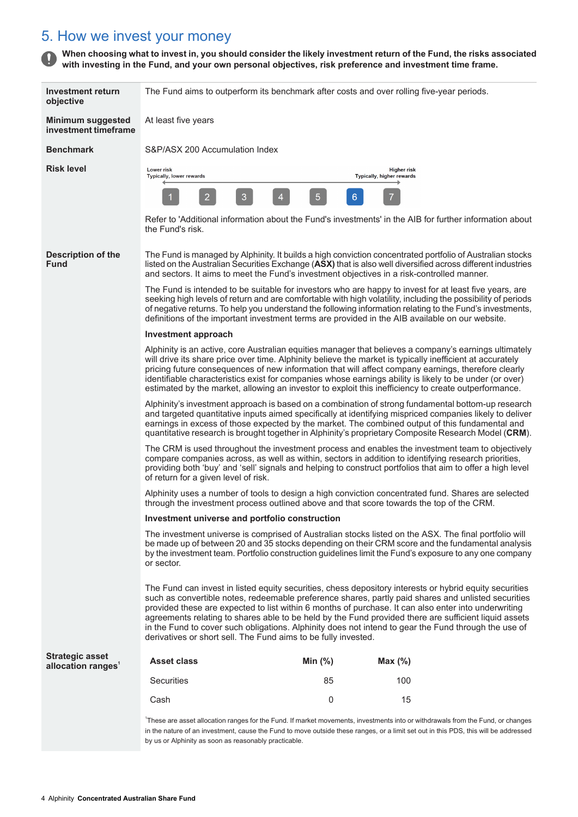# <span id="page-3-0"></span>5. How we invest your money

When choosing what to invest in, you should consider the likely investment return of the Fund, the risks associated **with investing in the Fund, and your own personal objectives, risk preference and investment time frame.**

| Investment return<br>objective                           | The Fund aims to outperform its benchmark after costs and over rolling five-year periods.                                                                                                                                                                                                                                                                                                                                                                                                                                                                                                                 |        |                |                                                                                                                                                                                                                                                                                                                                                                                                                                                                                                                                               |  |
|----------------------------------------------------------|-----------------------------------------------------------------------------------------------------------------------------------------------------------------------------------------------------------------------------------------------------------------------------------------------------------------------------------------------------------------------------------------------------------------------------------------------------------------------------------------------------------------------------------------------------------------------------------------------------------|--------|----------------|-----------------------------------------------------------------------------------------------------------------------------------------------------------------------------------------------------------------------------------------------------------------------------------------------------------------------------------------------------------------------------------------------------------------------------------------------------------------------------------------------------------------------------------------------|--|
| <b>Minimum suggested</b><br>investment timeframe         | At least five years                                                                                                                                                                                                                                                                                                                                                                                                                                                                                                                                                                                       |        |                |                                                                                                                                                                                                                                                                                                                                                                                                                                                                                                                                               |  |
| <b>Benchmark</b>                                         | S&P/ASX 200 Accumulation Index                                                                                                                                                                                                                                                                                                                                                                                                                                                                                                                                                                            |        |                |                                                                                                                                                                                                                                                                                                                                                                                                                                                                                                                                               |  |
| <b>Risk level</b>                                        | Lower risk<br>Typically, lower rewards                                                                                                                                                                                                                                                                                                                                                                                                                                                                                                                                                                    |        |                | <b>Higher risk</b><br>Typically, higher rewards                                                                                                                                                                                                                                                                                                                                                                                                                                                                                               |  |
|                                                          | 2                                                                                                                                                                                                                                                                                                                                                                                                                                                                                                                                                                                                         | 3<br>4 | 5 <sub>5</sub> | $6\phantom{a}$                                                                                                                                                                                                                                                                                                                                                                                                                                                                                                                                |  |
|                                                          | the Fund's risk.                                                                                                                                                                                                                                                                                                                                                                                                                                                                                                                                                                                          |        |                | Refer to 'Additional information about the Fund's investments' in the AIB for further information about                                                                                                                                                                                                                                                                                                                                                                                                                                       |  |
| <b>Description of the</b><br><b>Fund</b>                 | The Fund is managed by Alphinity. It builds a high conviction concentrated portfolio of Australian stocks<br>listed on the Australian Securities Exchange (ASX) that is also well diversified across different industries<br>and sectors. It aims to meet the Fund's investment objectives in a risk-controlled manner.                                                                                                                                                                                                                                                                                   |        |                |                                                                                                                                                                                                                                                                                                                                                                                                                                                                                                                                               |  |
|                                                          | The Fund is intended to be suitable for investors who are happy to invest for at least five years, are<br>seeking high levels of return and are comfortable with high volatility, including the possibility of periods<br>of negative returns. To help you understand the following information relating to the Fund's investments,<br>definitions of the important investment terms are provided in the AIB available on our website.                                                                                                                                                                    |        |                |                                                                                                                                                                                                                                                                                                                                                                                                                                                                                                                                               |  |
|                                                          | Investment approach                                                                                                                                                                                                                                                                                                                                                                                                                                                                                                                                                                                       |        |                |                                                                                                                                                                                                                                                                                                                                                                                                                                                                                                                                               |  |
|                                                          |                                                                                                                                                                                                                                                                                                                                                                                                                                                                                                                                                                                                           |        |                | Alphinity is an active, core Australian equities manager that believes a company's earnings ultimately<br>will drive its share price over time. Alphinity believe the market is typically inefficient at accurately<br>pricing future consequences of new information that will affect company earnings, therefore clearly<br>identifiable characteristics exist for companies whose earnings ability is likely to be under (or over)<br>estimated by the market, allowing an investor to exploit this inefficiency to create outperformance. |  |
|                                                          |                                                                                                                                                                                                                                                                                                                                                                                                                                                                                                                                                                                                           |        |                | Alphinity's investment approach is based on a combination of strong fundamental bottom-up research<br>and targeted quantitative inputs aimed specifically at identifying mispriced companies likely to deliver<br>earnings in excess of those expected by the market. The combined output of this fundamental and<br>quantitative research is brought together in Alphinity's proprietary Composite Research Model (CRM).                                                                                                                     |  |
|                                                          | The CRM is used throughout the investment process and enables the investment team to objectively<br>compare companies across, as well as within, sectors in addition to identifying research priorities,<br>providing both 'buy' and 'sell' signals and helping to construct portfolios that aim to offer a high level<br>of return for a given level of risk.                                                                                                                                                                                                                                            |        |                |                                                                                                                                                                                                                                                                                                                                                                                                                                                                                                                                               |  |
|                                                          | Alphinity uses a number of tools to design a high conviction concentrated fund. Shares are selected<br>through the investment process outlined above and that score towards the top of the CRM.<br>Investment universe and portfolio construction                                                                                                                                                                                                                                                                                                                                                         |        |                |                                                                                                                                                                                                                                                                                                                                                                                                                                                                                                                                               |  |
|                                                          |                                                                                                                                                                                                                                                                                                                                                                                                                                                                                                                                                                                                           |        |                |                                                                                                                                                                                                                                                                                                                                                                                                                                                                                                                                               |  |
|                                                          | The investment universe is comprised of Australian stocks listed on the ASX. The final portfolio will<br>be made up of between 20 and 35 stocks depending on their CRM score and the fundamental analysis<br>by the investment team. Portfolio construction guidelines limit the Fund's exposure to any one company<br>or sector.                                                                                                                                                                                                                                                                         |        |                |                                                                                                                                                                                                                                                                                                                                                                                                                                                                                                                                               |  |
|                                                          | The Fund can invest in listed equity securities, chess depository interests or hybrid equity securities<br>such as convertible notes, redeemable preference shares, partly paid shares and unlisted securities<br>provided these are expected to list within 6 months of purchase. It can also enter into underwriting<br>agreements relating to shares able to be held by the Fund provided there are sufficient liquid assets<br>in the Fund to cover such obligations. Alphinity does not intend to gear the Fund through the use of<br>derivatives or short sell. The Fund aims to be fully invested. |        |                |                                                                                                                                                                                                                                                                                                                                                                                                                                                                                                                                               |  |
| <b>Strategic asset</b><br>allocation ranges <sup>1</sup> | <b>Asset class</b>                                                                                                                                                                                                                                                                                                                                                                                                                                                                                                                                                                                        |        | Min $(%)$      | Max(%)                                                                                                                                                                                                                                                                                                                                                                                                                                                                                                                                        |  |
|                                                          | <b>Securities</b>                                                                                                                                                                                                                                                                                                                                                                                                                                                                                                                                                                                         |        | 85             | 100                                                                                                                                                                                                                                                                                                                                                                                                                                                                                                                                           |  |
|                                                          | Cash                                                                                                                                                                                                                                                                                                                                                                                                                                                                                                                                                                                                      |        | $\mathbf 0$    | 15                                                                                                                                                                                                                                                                                                                                                                                                                                                                                                                                            |  |
|                                                          |                                                                                                                                                                                                                                                                                                                                                                                                                                                                                                                                                                                                           |        |                | These are asset allocation ranges for the Fund. If market movements, investments into or withdrawals from the Fund, or changes<br>in the nature of an investment, cause the Fund to move outside these ranges, or a limit set out in this PDS, this will be addressed                                                                                                                                                                                                                                                                         |  |

by us or Alphinity as soon as reasonably practicable.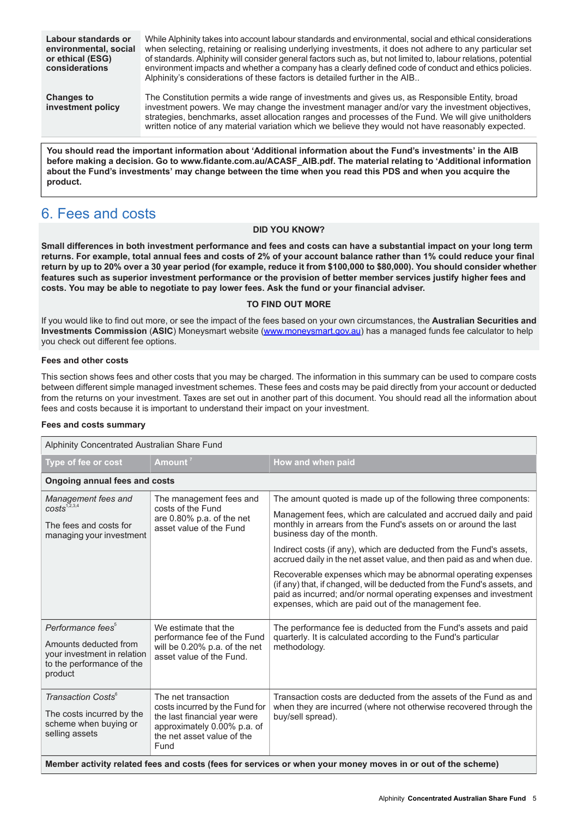**Labour standards or environmental, social or ethical (ESG) considerations**

While Alphinity takes into account labour standards and environmental, social and ethical considerations when selecting, retaining or realising underlying investments, it does not adhere to any particular set of standards. Alphinity will consider general factors such as, but not limited to, labour relations, potential environment impacts and whether a company has a clearly defined code of conduct and ethics policies. Alphinity's considerations of these factors is detailed further in the AIB..

**Changes to investment policy**

The Constitution permits a wide range of investments and gives us, as Responsible Entity, broad investment powers. We may change the investment manager and/or vary the investment objectives, strategies, benchmarks, asset allocation ranges and processes of the Fund. We will give unitholders written notice of any material variation which we believe they would not have reasonably expected.

**You should read the important information about 'Additional information about the Fund's investments' in the AIB before making a decision. Go to www.fidante.com.au/ACASF\_AIB.pdf. The material relating to 'Additional information** about the Fund's investments' may change between the time when you read this PDS and when you acquire the **product.**

# <span id="page-4-0"></span>6. Fees and costs

#### **DID YOU KNOW?**

Small differences in both investment performance and fees and costs can have a substantial impact on your long term returns. For example, total annual fees and costs of 2% of your account balance rather than 1% could reduce your final return by up to 20% over a 30 year period (for example, reduce it from \$100,000 to \$80,000). You should consider whether features such as superior investment performance or the provision of better member services justify higher fees and **costs. You may be able to negotiate to pay lower fees. Ask the fund or your financial adviser.**

#### **TO FIND OUT MORE**

If you would like to find out more, or see the impact of the fees based on your own circumstances, the **Australian Securities and Investments Commission** (**ASIC**) Moneysmart website ([www.moneysmart.gov.au\)](http://www.moneysmart.gov.au) has a managed funds fee calculator to help you check out different fee options.

#### **Fees and other costs**

This section shows fees and other costs that you may be charged. The information in this summary can be used to compare costs between different simple managed investment schemes. These fees and costs may be paid directly from your account or deducted from the returns on your investment. Taxes are set out in another part of this document. You should read all the information about fees and costs because it is important to understand their impact on your investment.

#### **Fees and costs summary**

| Alphinity Concentrated Australian Share Fund                                                                                  |                                                                                                                                                            |                                                                                                                                                                                                                                                                      |  |  |
|-------------------------------------------------------------------------------------------------------------------------------|------------------------------------------------------------------------------------------------------------------------------------------------------------|----------------------------------------------------------------------------------------------------------------------------------------------------------------------------------------------------------------------------------------------------------------------|--|--|
| Type of fee or cost                                                                                                           | Amount $^7$                                                                                                                                                | How and when paid                                                                                                                                                                                                                                                    |  |  |
| <b>Ongoing annual fees and costs</b>                                                                                          |                                                                                                                                                            |                                                                                                                                                                                                                                                                      |  |  |
| Management fees and<br>costs <sup>1,2,3,4</sup>                                                                               | The management fees and<br>costs of the Fund                                                                                                               | The amount quoted is made up of the following three components:                                                                                                                                                                                                      |  |  |
| The fees and costs for<br>managing your investment                                                                            | are 0.80% p.a. of the net<br>asset value of the Fund                                                                                                       | Management fees, which are calculated and accrued daily and paid<br>monthly in arrears from the Fund's assets on or around the last<br>business day of the month.                                                                                                    |  |  |
|                                                                                                                               |                                                                                                                                                            | Indirect costs (if any), which are deducted from the Fund's assets,<br>accrued daily in the net asset value, and then paid as and when due.                                                                                                                          |  |  |
|                                                                                                                               |                                                                                                                                                            | Recoverable expenses which may be abnormal operating expenses<br>(if any) that, if changed, will be deducted from the Fund's assets, and<br>paid as incurred; and/or normal operating expenses and investment<br>expenses, which are paid out of the management fee. |  |  |
| Performance fees <sup>5</sup><br>Amounts deducted from<br>your investment in relation<br>to the performance of the<br>product | We estimate that the<br>performance fee of the Fund<br>will be 0.20% p.a. of the net<br>asset value of the Fund.                                           | The performance fee is deducted from the Fund's assets and paid<br>quarterly. It is calculated according to the Fund's particular<br>methodology.                                                                                                                    |  |  |
| Transaction Costs <sup>6</sup><br>The costs incurred by the<br>scheme when buying or<br>selling assets                        | The net transaction<br>costs incurred by the Fund for<br>the last financial year were<br>approximately 0.00% p.a. of<br>the net asset value of the<br>Fund | Transaction costs are deducted from the assets of the Fund as and<br>when they are incurred (where not otherwise recovered through the<br>buy/sell spread).                                                                                                          |  |  |
| Member activity related fees and costs (fees for services or when your money moves in or out of the scheme)                   |                                                                                                                                                            |                                                                                                                                                                                                                                                                      |  |  |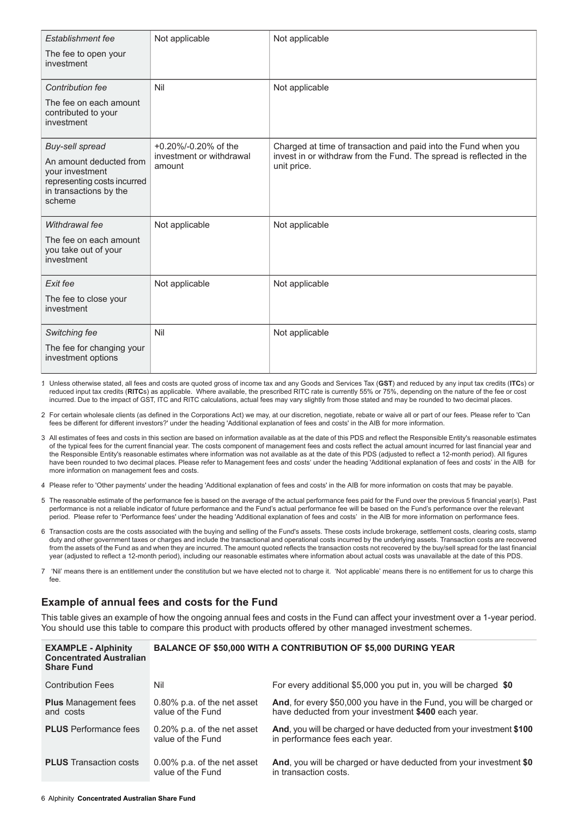| Establishment fee                                                                                             | Not applicable                     | Not applicable                                                                     |  |
|---------------------------------------------------------------------------------------------------------------|------------------------------------|------------------------------------------------------------------------------------|--|
| The fee to open your<br>investment                                                                            |                                    |                                                                                    |  |
| Contribution fee                                                                                              | Nil                                | Not applicable                                                                     |  |
| The fee on each amount<br>contributed to your<br>investment                                                   |                                    |                                                                                    |  |
| Buy-sell spread                                                                                               | +0.20%/-0.20% of the               | Charged at time of transaction and paid into the Fund when you                     |  |
| An amount deducted from<br>your investment<br>representing costs incurred<br>in transactions by the<br>scheme | investment or withdrawal<br>amount | invest in or withdraw from the Fund. The spread is reflected in the<br>unit price. |  |
| Withdrawal fee                                                                                                | Not applicable                     | Not applicable                                                                     |  |
| The fee on each amount<br>you take out of your<br>investment                                                  |                                    |                                                                                    |  |
| Exit fee                                                                                                      | Not applicable                     | Not applicable                                                                     |  |
| The fee to close your<br>investment                                                                           |                                    |                                                                                    |  |
| Switching fee                                                                                                 | Nil                                | Not applicable                                                                     |  |
| The fee for changing your<br>investment options                                                               |                                    |                                                                                    |  |

1. Unless otherwise stated, all fees and costs are quoted gross of income tax and any Goods and Services Tax (**GST**) and reduced by any input tax credits (**ITC**s) or reduced input tax credits (**RITC**s) as applicable. Where available, the prescribed RITC rate is currently 55% or 75%, depending on the nature of the fee or cost incurred. Due to the impact of GST, ITC and RITC calculations, actual fees may vary slightly from those stated and may be rounded to two decimal places.

- 2. For certain wholesale clients (as defined in the Corporations Act) we may, at our discretion, negotiate, rebate or waive all or part of our fees. Please refer to 'Can fees be different for different investors?' under the heading 'Additional explanation of fees and costs' in the AIB for more information.
- 3. All estimates of fees and costs in this section are based on information available as at the date of this PDS and reflect the Responsible Entity's reasonable estimates of the typical fees for the current financial year. The costs component of management fees and costs reflect the actual amount incurred for last financial year and the Responsible Entity's reasonable estimates where information was not available as at the date of this PDS (adjusted to reflect a 12-month period). All figures have been rounded to two decimal places. Please refer to Management fees and costs' under the heading 'Additional explanation of fees and costs' in the AIB for more information on management fees and costs.
- 4. Please refer to 'Other payments' under the heading 'Additional explanation of fees and costs' in the AIB for more information on costs that may be payable.
- 5. The reasonable estimate of the performance fee is based on the average of the actual performance fees paid for the Fund over the previous 5 financial year(s). Past performance is not a reliable indicator of future performance and the Fund's actual performance fee will be based on the Fund's performance over the relevant period. Please refer to 'Performance fees' under the heading 'Additional explanation of fees and costs' in the AIB for more information on performance fees.
- 6. Transaction costs are the costs associated with the buying and selling of the Fund's assets. These costs include brokerage, settlement costs, clearing costs, stamp duty and other government taxes or charges and include the transactional and operational costs incurred by the underlying assets. Transaction costs are recovered from the assets of the Fund as and when they are incurred. The amount quoted reflects the transaction costs not recovered by the buy/sell spread for the last financial year (adjusted to reflect a 12-month period), including our reasonable estimates where information about actual costs was unavailable at the date of this PDS.
- 7. 'Nil' means there is an entitlement under the constitution but we have elected not to charge it. 'Not applicable' means there is no entitlement for us to charge this fee

## **Example of annual fees and costs for the Fund**

This table gives an example of how the ongoing annual fees and costs in the Fund can affect your investment over a 1-year period. You should use this table to compare this product with products offered by other managed investment schemes.

| <b>EXAMPLE - Alphinity</b><br><b>Concentrated Australian</b><br><b>Share Fund</b> |                                                  | <b>BALANCE OF \$50,000 WITH A CONTRIBUTION OF \$5,000 DURING YEAR</b>                                                       |
|-----------------------------------------------------------------------------------|--------------------------------------------------|-----------------------------------------------------------------------------------------------------------------------------|
| <b>Contribution Fees</b>                                                          | Nil                                              | For every additional \$5,000 you put in, you will be charged \$0                                                            |
| <b>Plus</b> Management fees<br>and costs                                          | 0.80% p.a. of the net asset<br>value of the Fund | And, for every \$50,000 you have in the Fund, you will be charged or<br>have deducted from your investment \$400 each year. |
| <b>PLUS</b> Performance fees                                                      | 0.20% p.a. of the net asset<br>value of the Fund | And, you will be charged or have deducted from your investment \$100<br>in performance fees each year.                      |
| <b>PLUS</b> Transaction costs                                                     | 0.00% p.a. of the net asset<br>value of the Fund | And, you will be charged or have deducted from your investment \$0<br>in transaction costs.                                 |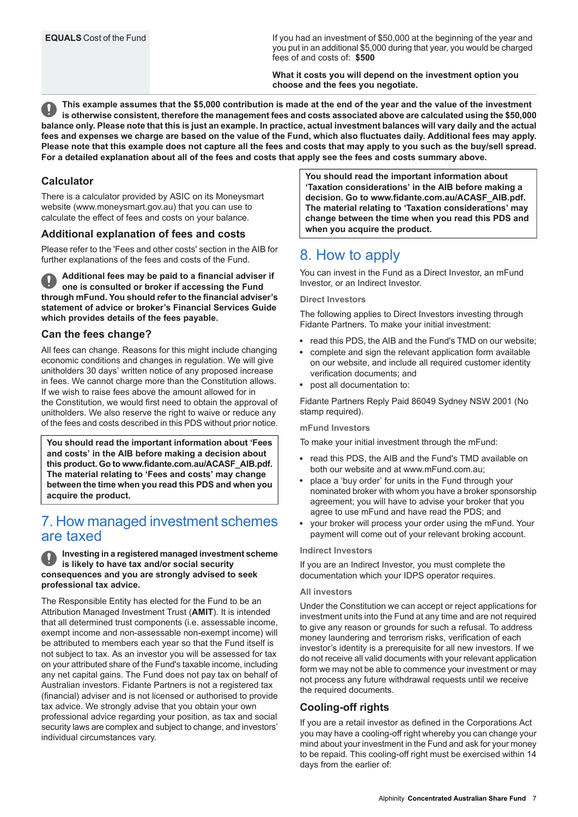If you had an investment of \$50,000 at the beginning of the year and you put in an additional \$5,000 during that year, you would be charged fees of and costs of: **\$500**

**What it costs you will depend on the investment option you choose and the fees you negotiate.**

This example assumes that the \$5,000 contribution is made at the end of the year and the value of the investment is otherwise consistent, therefore the management fees and costs associated above are calculated using the \$50,000 balance only. Please note that this is just an example. In practice, actual investment balances will vary daily and the actual fees and expenses we charge are based on the value of the Fund, which also fluctuates daily. Additional fees may apply, Please note that this example does not capture all the fees and costs that may apply to you such as the buy/sell spread. For a detailed explanation about all of the fees and costs that apply see the fees and costs summary above.

### **Calculator**

There is a calculator provided by ASIC on its Moneysmart website (www.moneysmart.gov.au) that you can use to calculate the effect of fees and costs on your balance.

#### **Additional explanation of fees and costs**

Please refer to the 'Fees and other costs' section in the AIB for further explanations of the fees and costs of the Fund.

**Additional fees may be paid to a financial adviser if one is consulted or broker if accessing the Fund through mFund. You should refer to the financial adviser's statement of advice or broker's Financial Services Guide which provides details of the fees payable.**

#### **Can the fees change?**

All fees can change. Reasons for this might include changing economic conditions and changes in regulation. We will give unitholders 30 days' written notice of any proposed increase in fees. We cannot charge more than the Constitution allows. If we wish to raise fees above the amount allowed for in the Constitution, we would first need to obtain the approval of unitholders. We also reserve the right to waive or reduce any of the fees and costs described in this PDS without prior notice.

<span id="page-6-0"></span>**You should read the important information about 'Fees and costs' in the AIB before making a decision about this product. Go to www.fidante.com.au/ACASF\_AIB.pdf. The material relating to 'Fees and costs' may change between the time when you read this PDS and when you acquire the product.**

# 7. How managed investment schemes are taxed

**Investing in a registered managed investment scheme is likely to have tax and/or social security consequences and you are strongly advised to seek professional tax advice.**

The Responsible Entity has elected for the Fund to be an Attribution Managed Investment Trust (**AMIT**). It is intended that all determined trust components (i.e. assessable income, exempt income and non-assessable non-exempt income) will be attributed to members each year so that the Fund itself is not subject to tax. As an investor you will be assessed for tax on your attributed share of the Fund's taxable income, including any net capital gains. The Fund does not pay tax on behalf of Australian investors. Fidante Partners is not a registered tax (financial) adviser and is not licensed or authorised to provide tax advice. We strongly advise that you obtain your own professional advice regarding your position, as tax and social security laws are complex and subject to change, and investors' individual circumstances vary.

**You should read the important information about 'Taxation considerations' in the AIB before making a decision. Go to www.fidante.com.au/ACASF\_AIB.pdf. The material relating to 'Taxation considerations' may change between the time when you read this PDS and when you acquire the product.**

# <span id="page-6-1"></span>8. How to apply

You can invest in the Fund as a Direct Investor, an mFund Investor, or an Indirect Investor.

#### **Direct Investors**

The following applies to Direct Investors investing through Fidante Partners. To make your initial investment:

- read this PDS, the AIB and the Fund's TMD on our website;
- complete and sign the relevant application form available on our website, and include all required customer identity verification documents; and
- post all documentation to:

Fidante Partners Reply Paid 86049 Sydney NSW 2001 (No stamp required).

#### **mFund Investors**

To make your initial investment through the mFund:

- read this PDS, the AIB and the Fund's TMD available on both our website and at www.mFund.com.au;
- place a 'buy order' for units in the Fund through your nominated broker with whom you have a broker sponsorship agreement; you will have to advise your broker that you agree to use mFund and have read the PDS; and
- your broker will process your order using the mFund. Your payment will come out of your relevant broking account.

#### **Indirect Investors**

If you are an Indirect Investor, you must complete the documentation which your IDPS operator requires.

#### **All investors**

Under the Constitution we can accept or reject applications for investment units into the Fund at any time and are not required to give any reason or grounds for such a refusal. To address money laundering and terrorism risks, verification of each investor's identity is a prerequisite for all new investors. If we do not receive all valid documents with your relevant application form we may not be able to commence your investment or may not process any future withdrawal requests until we receive the required documents.

#### **Cooling-off rights**

If you are a retail investor as defined in the Corporations Act you may have a cooling-off right whereby you can change your mind about your investment in the Fund and ask for your money to be repaid. This cooling-off right must be exercised within 14 days from the earlier of: